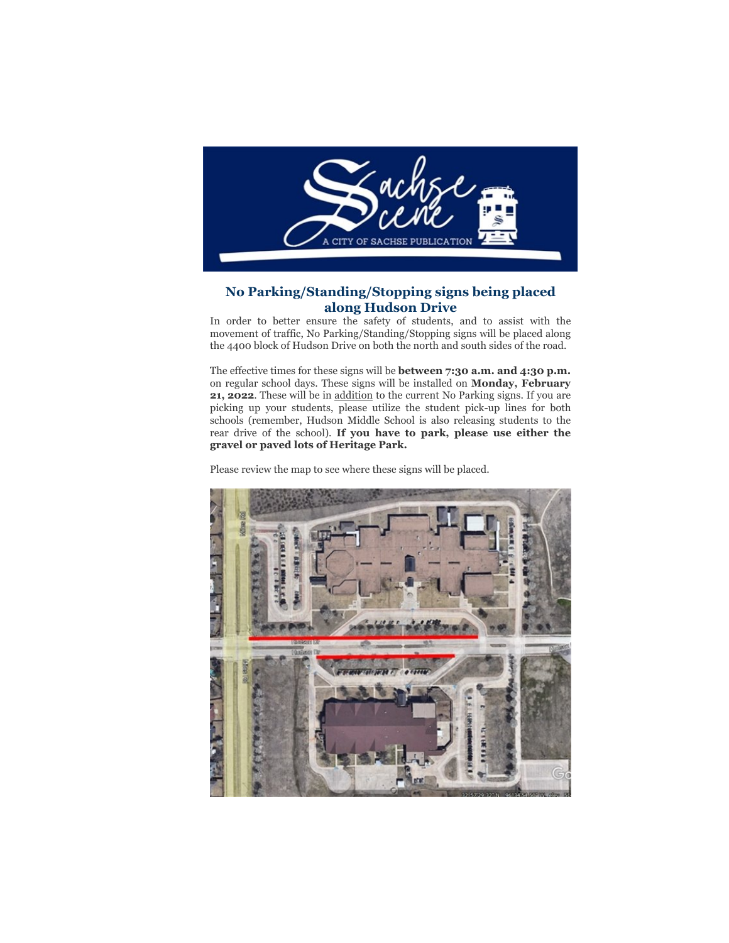

# **No Parking/Standing/Stopping signs being placed along Hudson Drive**

In order to better ensure the safety of students, and to assist with the movement of traffic, No Parking/Standing/Stopping signs will be placed along the 4400 block of Hudson Drive on both the north and south sides of the road.

The effective times for these signs will be **between 7:30 a.m. and 4:30 p.m.** on regular school days. These signs will be installed on **Monday, February 21, 2022**. These will be in addition to the current No Parking signs. If you are picking up your students, please utilize the student pick-up lines for both schools (remember, Hudson Middle School is also releasing students to the rear drive of the school). **If you have to park, please use either the gravel or paved lots of Heritage Park.**

Please review the map to see where these signs will be placed.

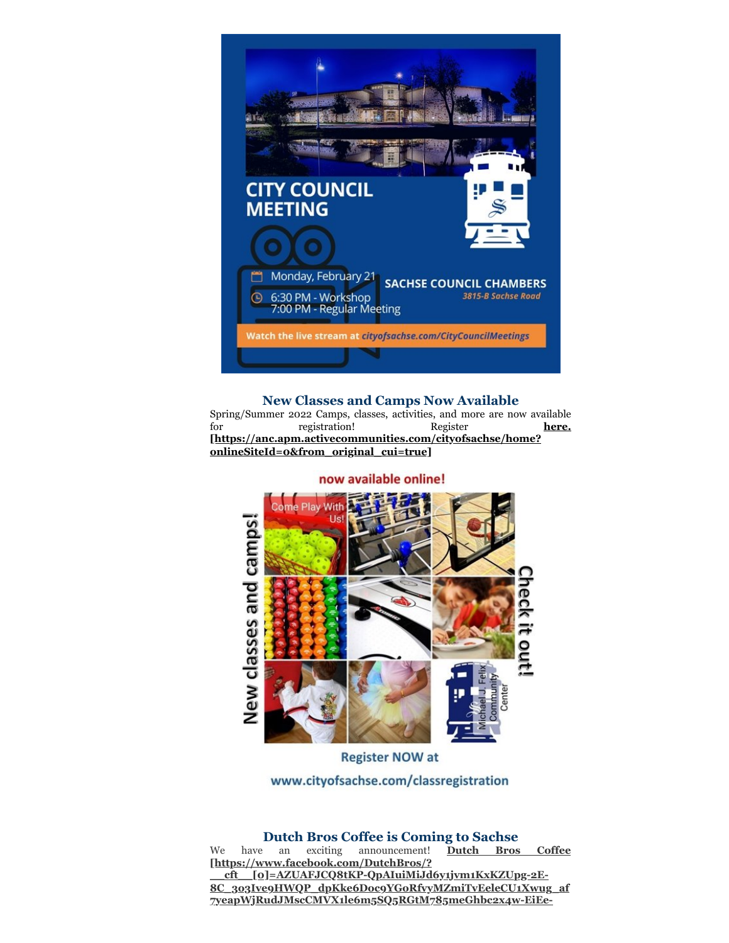

## **New Classes and Camps Now Available**

Spring/Summer 2022 Camps, classes, activities, and more are now available for registration! Register **here. [\[https://anc.apm.activecommunities.com/cityofsachse/home?](https://anc.apm.activecommunities.com/cityofsachse/home?onlineSiteId=0&from_original_cui=true) onlineSiteId=0&from\_original\_cui=true]**

now available online!



**Register NOW at** 

www.cityofsachse.com/classregistration

**Dutch Bros Coffee is Coming to Sachse**<br>an exciting announcement! Dutch Bros Coffee We have an exciting announcement! **[https://www.facebook.com/DutchBros/? \_\_cft\_\_[0]=AZUAFJCQ8tKP-QpAIuiMiJd6y1jvm1KxKZUpg-2E-[8C\\_3o3Ive9HWQP\\_dpKke6Doc9YGoRfvyMZmiTvEeleCU1Xwug\\_af](https://www.facebook.com/DutchBros/?__cft__[0]=AZUAFJCQ8tKP-QpAIuiMiJd6y1jvm1KxKZUpg-2E-8C_3o3Ive9HWQP_dpKke6Doc9YGoRfvyMZmiTvEeleCU1Xwug_af7yeapWjRudJMscCMVX1le6m5SQ5RGtM785meGhbc2x4w-EiEe-6q4NQM3OfIwWA3RI4jE03Gd9Iwargmw&__tn__=kK-y-R) 7yeapWjRudJMscCMVX1le6m5SQ5RGtM785meGhbc2x4w-EiEe-**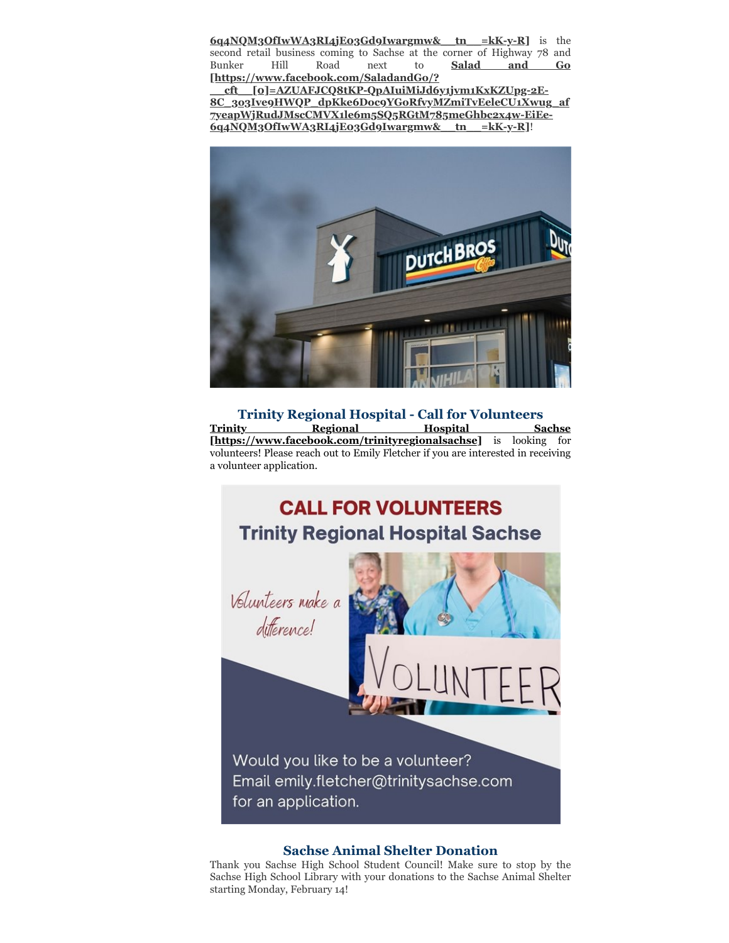**[6q4NQM3OfIwWA3RI4jE03Gd9Iwargmw&\\_\\_tn\\_\\_=kK-y-R\]](https://www.facebook.com/DutchBros/?__cft__[0]=AZUAFJCQ8tKP-QpAIuiMiJd6y1jvm1KxKZUpg-2E-8C_3o3Ive9HWQP_dpKke6Doc9YGoRfvyMZmiTvEeleCU1Xwug_af7yeapWjRudJMscCMVX1le6m5SQ5RGtM785meGhbc2x4w-EiEe-6q4NQM3OfIwWA3RI4jE03Gd9Iwargmw&__tn__=kK-y-R)** is the second retail business coming to Sachse at the corner of Highway 78 and Bunker Hill Road next to **Salad and Go [https://www.facebook.com/SaladandGo/?**

**\_\_cft\_\_[0]=AZUAFJCQ8tKP-QpAIuiMiJd6y1jvm1KxKZUpg-2E-[8C\\_3o3Ive9HWQP\\_dpKke6Doc9YGoRfvyMZmiTvEeleCU1Xwug\\_af](https://www.facebook.com/SaladandGo/?__cft__[0]=AZUAFJCQ8tKP-QpAIuiMiJd6y1jvm1KxKZUpg-2E-8C_3o3Ive9HWQP_dpKke6Doc9YGoRfvyMZmiTvEeleCU1Xwug_af7yeapWjRudJMscCMVX1le6m5SQ5RGtM785meGhbc2x4w-EiEe-6q4NQM3OfIwWA3RI4jE03Gd9Iwargmw&__tn__=kK-y-R) 7yeapWjRudJMscCMVX1le6m5SQ5RGtM785meGhbc2x4w-EiEe-6q4NQM3OfIwWA3RI4jE03Gd9Iwargmw&\_\_tn\_\_=kK-y-R]**!



**Trinity Regional Hospital - Call for Volunteers [Trinity Regional Hospital Sachse](https://www.facebook.com/trinityregionalsachse) [https://www.facebook.com/trinityregionalsachse]** is looking for volunteers! Please reach out to Emily Fletcher if you are interested in receiving a volunteer application.



#### **Sachse Animal Shelter Donation**

Thank you Sachse High School Student Council! Make sure to stop by the Sachse High School Library with your donations to the Sachse Animal Shelter starting Monday, February 14!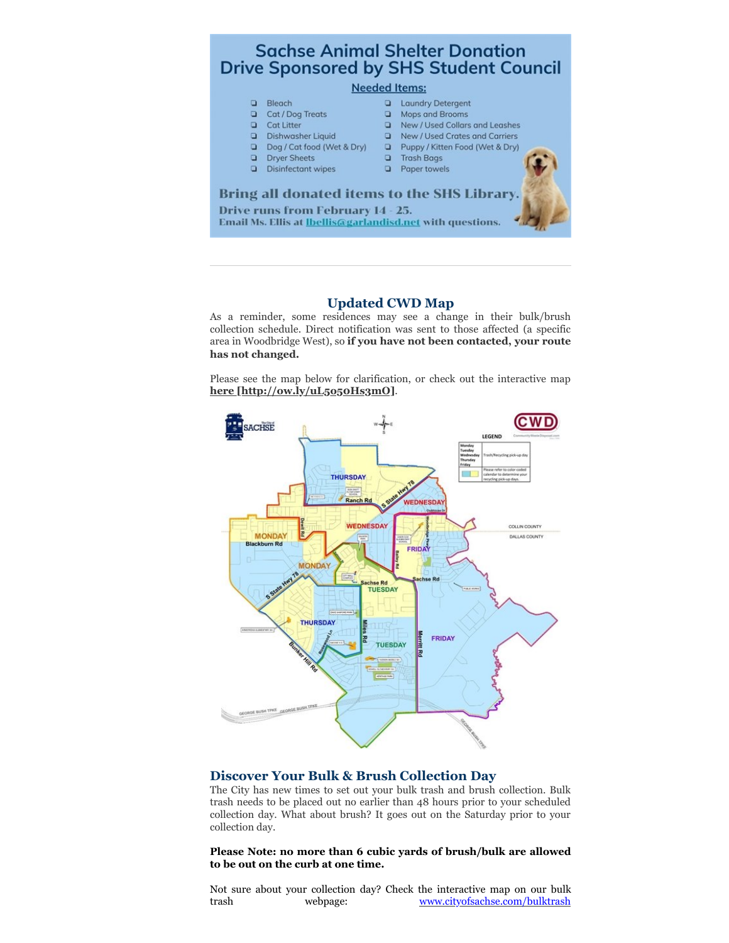

## **Updated CWD Map**

As a reminder, some residences may see a change in their bulk/brush collection schedule. Direct notification was sent to those affected (a specific area in Woodbridge West), so **if you have not been contacted, your route has not changed.**

Please see the map below for clarification, or check out the interactive map **[here \[http://ow.ly/uL5o50Hs3mO\]](http://ow.ly/uL5o50Hs3mO)**.



#### **Discover Your Bulk & Brush Collection Day**

The City has new times to set out your bulk trash and brush collection. Bulk trash needs to be placed out no earlier than 48 hours prior to your scheduled collection day. What about brush? It goes out on the Saturday prior to your collection day.

**Please Note: no more than 6 cubic yards of brush/bulk are allowed to be out on the curb at one time.**

Not sure about your collection day? Check the interactive map on our bulk trash webpage: [www.cityofsachse.com/bulktrash](https://gcc02.safelinks.protection.outlook.com/?url=http%3A%2F%2Fwww.cityofsachse.com%2Fbulktrash%3Ffbclid%3DIwAR0zFingZEmaMqflcJpTx6XjtCKzj2Uxqk1OM04PUeiF7Ff1ebnjvuEt9Uo&data=02%7C01%7Cmbartram%40cityofsachse.com%7Cd295fd1310354e67f3a908d83a699628%7C2a2b11936d0c45a9ae5a7c6641125792%7C0%7C0%7C637323572462517452&sdata=W%2BpvX4%2BsQ4As1D%2B98Ycq4IPbvZZ32o1mphRxogfwFoA%3D&reserved=0)